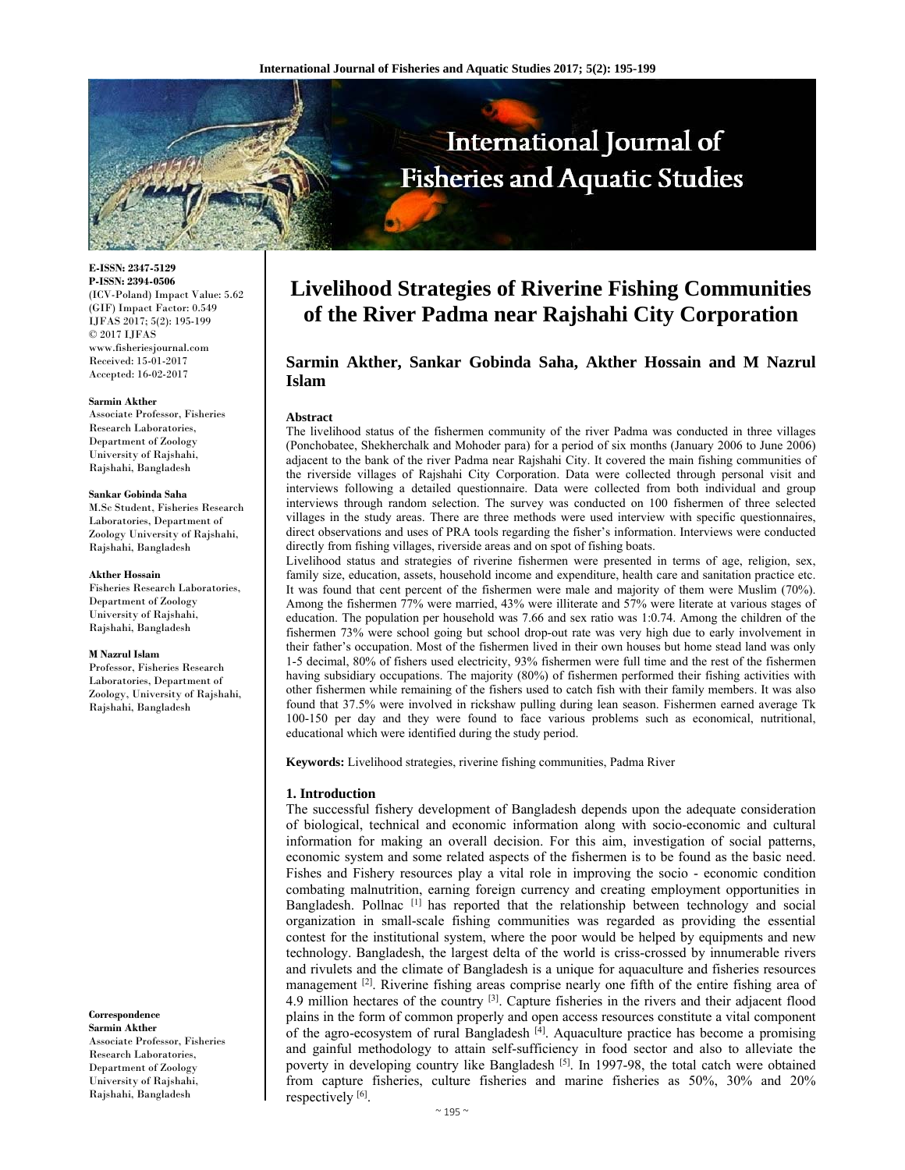

**E-ISSN: 2347-5129 P-ISSN: 2394-0506**  (ICV-Poland) Impact Value: 5.62 (GIF) Impact Factor: 0.549 IJFAS 2017; 5(2): 195-199  $\odot$  2017 IJFAS www.fisheriesjournal.com Received: 15-01-2017 Accepted: 16-02-2017

#### **Sarmin Akther**

Associate Professor, Fisheries Research Laboratories, Department of Zoology University of Rajshahi, Rajshahi, Bangladesh

#### **Sankar Gobinda Saha**

M.Sc Student, Fisheries Research Laboratories, Department of Zoology University of Rajshahi, Rajshahi, Bangladesh

#### **Akther Hossain**

Fisheries Research Laboratories, Department of Zoology University of Rajshahi, Rajshahi, Bangladesh

#### **M Nazrul Islam**

Professor, Fisheries Research Laboratories, Department of Zoology, University of Rajshahi, Rajshahi, Bangladesh

**Correspondence Sarmin Akther**  Associate Professor, Fisheries Research Laboratories, Department of Zoology University of Rajshahi, Rajshahi, Bangladesh

# **Livelihood Strategies of Riverine Fishing Communities of the River Padma near Rajshahi City Corporation**

# **Sarmin Akther, Sankar Gobinda Saha, Akther Hossain and M Nazrul Islam**

#### **Abstract**

The livelihood status of the fishermen community of the river Padma was conducted in three villages (Ponchobatee, Shekherchalk and Mohoder para) for a period of six months (January 2006 to June 2006) adjacent to the bank of the river Padma near Rajshahi City. It covered the main fishing communities of the riverside villages of Rajshahi City Corporation. Data were collected through personal visit and interviews following a detailed questionnaire. Data were collected from both individual and group interviews through random selection. The survey was conducted on 100 fishermen of three selected villages in the study areas. There are three methods were used interview with specific questionnaires, direct observations and uses of PRA tools regarding the fisher's information. Interviews were conducted directly from fishing villages, riverside areas and on spot of fishing boats.

Livelihood status and strategies of riverine fishermen were presented in terms of age, religion, sex, family size, education, assets, household income and expenditure, health care and sanitation practice etc. It was found that cent percent of the fishermen were male and majority of them were Muslim (70%). Among the fishermen 77% were married, 43% were illiterate and 57% were literate at various stages of education. The population per household was 7.66 and sex ratio was 1:0.74. Among the children of the fishermen 73% were school going but school drop-out rate was very high due to early involvement in their father's occupation. Most of the fishermen lived in their own houses but home stead land was only 1-5 decimal, 80% of fishers used electricity, 93% fishermen were full time and the rest of the fishermen having subsidiary occupations. The majority (80%) of fishermen performed their fishing activities with other fishermen while remaining of the fishers used to catch fish with their family members. It was also found that 37.5% were involved in rickshaw pulling during lean season. Fishermen earned average Tk 100-150 per day and they were found to face various problems such as economical, nutritional, educational which were identified during the study period.

**Keywords:** Livelihood strategies, riverine fishing communities, Padma River

#### **1. Introduction**

The successful fishery development of Bangladesh depends upon the adequate consideration of biological, technical and economic information along with socio-economic and cultural information for making an overall decision. For this aim, investigation of social patterns, economic system and some related aspects of the fishermen is to be found as the basic need. Fishes and Fishery resources play a vital role in improving the socio - economic condition combating malnutrition, earning foreign currency and creating employment opportunities in Bangladesh. Pollnac [1] has reported that the relationship between technology and social organization in small-scale fishing communities was regarded as providing the essential contest for the institutional system, where the poor would be helped by equipments and new technology. Bangladesh, the largest delta of the world is criss-crossed by innumerable rivers and rivulets and the climate of Bangladesh is a unique for aquaculture and fisheries resources management  $[2]$ . Riverine fishing areas comprise nearly one fifth of the entire fishing area of 4.9 million hectares of the country  $[3]$ . Capture fisheries in the rivers and their adjacent flood plains in the form of common properly and open access resources constitute a vital component of the agro-ecosystem of rural Bangladesh  $[4]$ . Aquaculture practice has become a promising and gainful methodology to attain self-sufficiency in food sector and also to alleviate the poverty in developing country like Bangladesh <sup>[5]</sup>. In 1997-98, the total catch were obtained from capture fisheries, culture fisheries and marine fisheries as 50%, 30% and 20% respectively [6].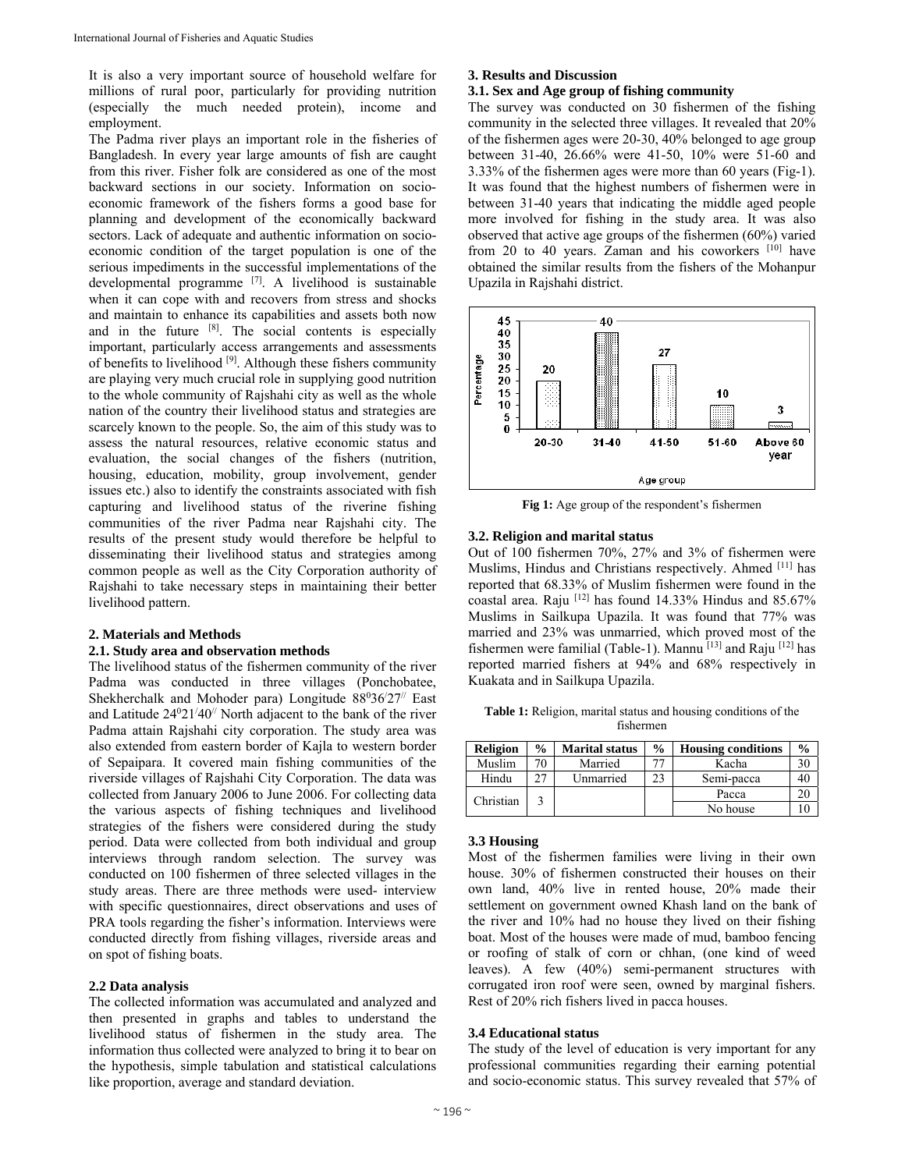It is also a very important source of household welfare for millions of rural poor, particularly for providing nutrition (especially the much needed protein), income and employment.

The Padma river plays an important role in the fisheries of Bangladesh. In every year large amounts of fish are caught from this river. Fisher folk are considered as one of the most backward sections in our society. Information on socioeconomic framework of the fishers forms a good base for planning and development of the economically backward sectors. Lack of adequate and authentic information on socioeconomic condition of the target population is one of the serious impediments in the successful implementations of the developmental programme [7]. A livelihood is sustainable when it can cope with and recovers from stress and shocks and maintain to enhance its capabilities and assets both now and in the future  $[8]$ . The social contents is especially important, particularly access arrangements and assessments of benefits to livelihood [9]. Although these fishers community are playing very much crucial role in supplying good nutrition to the whole community of Rajshahi city as well as the whole nation of the country their livelihood status and strategies are scarcely known to the people. So, the aim of this study was to assess the natural resources, relative economic status and evaluation, the social changes of the fishers (nutrition, housing, education, mobility, group involvement, gender issues etc.) also to identify the constraints associated with fish capturing and livelihood status of the riverine fishing communities of the river Padma near Rajshahi city. The results of the present study would therefore be helpful to disseminating their livelihood status and strategies among common people as well as the City Corporation authority of Rajshahi to take necessary steps in maintaining their better livelihood pattern.

# **2. Materials and Methods**

## **2.1. Study area and observation methods**

The livelihood status of the fishermen community of the river Padma was conducted in three villages (Ponchobatee, Shekherchalk and Mohoder para) Longitude 88036/27<sup>//</sup> East and Latitude  $24^021/40^{\prime\prime}$  North adjacent to the bank of the river Padma attain Rajshahi city corporation. The study area was also extended from eastern border of Kajla to western border of Sepaipara. It covered main fishing communities of the riverside villages of Rajshahi City Corporation. The data was collected from January 2006 to June 2006. For collecting data the various aspects of fishing techniques and livelihood strategies of the fishers were considered during the study period. Data were collected from both individual and group interviews through random selection. The survey was conducted on 100 fishermen of three selected villages in the study areas. There are three methods were used- interview with specific questionnaires, direct observations and uses of PRA tools regarding the fisher's information. Interviews were conducted directly from fishing villages, riverside areas and on spot of fishing boats.

#### **2.2 Data analysis**

The collected information was accumulated and analyzed and then presented in graphs and tables to understand the livelihood status of fishermen in the study area. The information thus collected were analyzed to bring it to bear on the hypothesis, simple tabulation and statistical calculations like proportion, average and standard deviation.

# **3. Results and Discussion**

## **3.1. Sex and Age group of fishing community**

The survey was conducted on 30 fishermen of the fishing community in the selected three villages. It revealed that 20% of the fishermen ages were 20-30, 40% belonged to age group between 31-40, 26.66% were 41-50, 10% were 51-60 and 3.33% of the fishermen ages were more than 60 years (Fig-1). It was found that the highest numbers of fishermen were in between 31-40 years that indicating the middle aged people more involved for fishing in the study area. It was also observed that active age groups of the fishermen (60%) varied from 20 to 40 years. Zaman and his coworkers [10] have obtained the similar results from the fishers of the Mohanpur Upazila in Rajshahi district.



**Fig 1:** Age group of the respondent's fishermen

## **3.2. Religion and marital status**

Out of 100 fishermen 70%, 27% and 3% of fishermen were Muslims, Hindus and Christians respectively. Ahmed [11] has reported that 68.33% of Muslim fishermen were found in the coastal area. Raju [12] has found 14.33% Hindus and 85.67% Muslims in Sailkupa Upazila. It was found that 77% was married and 23% was unmarried, which proved most of the fishermen were familial (Table-1). Mannu  $[13]$  and Raju  $[12]$  has reported married fishers at 94% and 68% respectively in Kuakata and in Sailkupa Upazila.

**Table 1:** Religion, marital status and housing conditions of the fishermen

| <b>Religion</b> | $\frac{1}{2}$ | <b>Marital status</b> | $\frac{0}{0}$ | <b>Housing conditions</b> | $\frac{0}{0}$ |
|-----------------|---------------|-----------------------|---------------|---------------------------|---------------|
| Muslim          | 70            | Married               |               | Kacha                     |               |
| Hindu           |               | Unmarried             | 23            | Semi-pacca                |               |
| Christian       |               |                       |               | Pacca                     |               |
|                 |               |                       |               | No house                  |               |

## **3.3 Housing**

Most of the fishermen families were living in their own house. 30% of fishermen constructed their houses on their own land, 40% live in rented house, 20% made their settlement on government owned Khash land on the bank of the river and 10% had no house they lived on their fishing boat. Most of the houses were made of mud, bamboo fencing or roofing of stalk of corn or chhan, (one kind of weed leaves). A few (40%) semi-permanent structures with corrugated iron roof were seen, owned by marginal fishers. Rest of 20% rich fishers lived in pacca houses.

## **3.4 Educational status**

The study of the level of education is very important for any professional communities regarding their earning potential and socio-economic status. This survey revealed that 57% of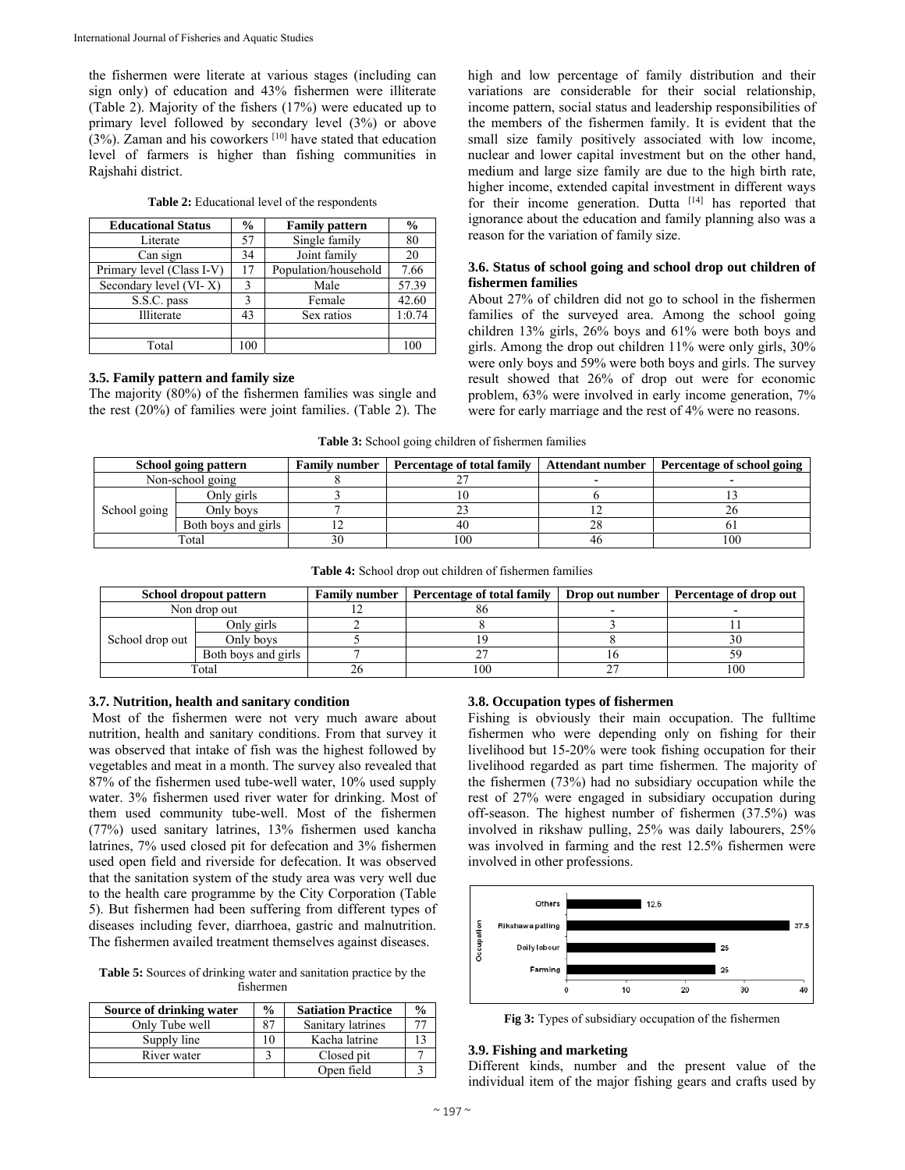the fishermen were literate at various stages (including can sign only) of education and 43% fishermen were illiterate (Table 2). Majority of the fishers (17%) were educated up to primary level followed by secondary level (3%) or above  $(3%)$ . Zaman and his coworkers [10] have stated that education level of farmers is higher than fishing communities in Rajshahi district.

| <b>Table 2:</b> Educational level of the respondents |  |  |
|------------------------------------------------------|--|--|
|------------------------------------------------------|--|--|

| <b>Educational Status</b> | $\frac{0}{0}$ | <b>Family pattern</b> | $\frac{6}{9}$ |
|---------------------------|---------------|-----------------------|---------------|
| Literate                  | 57            | Single family         | 80            |
| Can sign                  | 34            | Joint family          | 20            |
| Primary level (Class I-V) | 17            | Population/household  | 7.66          |
| Secondary level (VI-X)    | 3             | Male                  | 57.39         |
| S.S.C. pass               | 3             | Female                | 42.60         |
| Illiterate                | 43            | Sex ratios            | 1:0.74        |
|                           |               |                       |               |
| Total                     |               |                       |               |

## **3.5. Family pattern and family size**

The majority (80%) of the fishermen families was single and the rest (20%) of families were joint families. (Table 2). The high and low percentage of family distribution and their variations are considerable for their social relationship, income pattern, social status and leadership responsibilities of the members of the fishermen family. It is evident that the small size family positively associated with low income, nuclear and lower capital investment but on the other hand, medium and large size family are due to the high birth rate, higher income, extended capital investment in different ways for their income generation. Dutta [14] has reported that ignorance about the education and family planning also was a reason for the variation of family size.

# **3.6. Status of school going and school drop out children of fishermen families**

About 27% of children did not go to school in the fishermen families of the surveyed area. Among the school going children 13% girls, 26% boys and 61% were both boys and girls. Among the drop out children 11% were only girls, 30% were only boys and 59% were both boys and girls. The survey result showed that 26% of drop out were for economic problem, 63% were involved in early income generation, 7% were for early marriage and the rest of 4% were no reasons.

**Table 3:** School going children of fishermen families

| School going pattern |                     | <b>Family number</b> | Percentage of total family | Attendant number   Percentage of school going |
|----------------------|---------------------|----------------------|----------------------------|-----------------------------------------------|
| Non-school going     |                     |                      |                            |                                               |
|                      | Only girls          |                      |                            |                                               |
| School going         | Only boys           |                      |                            |                                               |
|                      | Both boys and girls |                      | 40                         |                                               |
| Total                |                     |                      | 100                        | 100                                           |

**Table 4:** School drop out children of fishermen families

|                 | School dropout pattern | <b>Family number</b>   Percentage of total family | <b>Drop out number</b> | Percentage of drop out |
|-----------------|------------------------|---------------------------------------------------|------------------------|------------------------|
| Non drop out    |                        | oυ                                                |                        |                        |
|                 | Onlv girls             |                                                   |                        |                        |
| School drop out | Only boys              |                                                   |                        |                        |
|                 | Both boys and girls    |                                                   |                        |                        |
| Total           |                        | 100                                               |                        | 100                    |

# **3.7. Nutrition, health and sanitary condition**

 Most of the fishermen were not very much aware about nutrition, health and sanitary conditions. From that survey it was observed that intake of fish was the highest followed by vegetables and meat in a month. The survey also revealed that 87% of the fishermen used tube-well water, 10% used supply water. 3% fishermen used river water for drinking. Most of them used community tube-well. Most of the fishermen (77%) used sanitary latrines, 13% fishermen used kancha latrines, 7% used closed pit for defecation and 3% fishermen used open field and riverside for defecation. It was observed that the sanitation system of the study area was very well due to the health care programme by the City Corporation (Table 5). But fishermen had been suffering from different types of diseases including fever, diarrhoea, gastric and malnutrition. The fishermen availed treatment themselves against diseases.

**Table 5:** Sources of drinking water and sanitation practice by the fishermen

| Source of drinking water | $\frac{0}{0}$ | <b>Satiation Practice</b> | $\frac{0}{0}$ |
|--------------------------|---------------|---------------------------|---------------|
| Only Tube well           | 87            | Sanitary latrines         |               |
| Supply line              |               | Kacha latrine             |               |
| River water              |               | Closed pit                |               |
|                          |               | Open field                |               |

# **3.8. Occupation types of fishermen**

Fishing is obviously their main occupation. The fulltime fishermen who were depending only on fishing for their livelihood but 15-20% were took fishing occupation for their livelihood regarded as part time fishermen. The majority of the fishermen (73%) had no subsidiary occupation while the rest of 27% were engaged in subsidiary occupation during off-season. The highest number of fishermen (37.5%) was involved in rikshaw pulling, 25% was daily labourers, 25% was involved in farming and the rest 12.5% fishermen were involved in other professions.



**Fig 3:** Types of subsidiary occupation of the fishermen

# **3.9. Fishing and marketing**

Different kinds, number and the present value of the individual item of the major fishing gears and crafts used by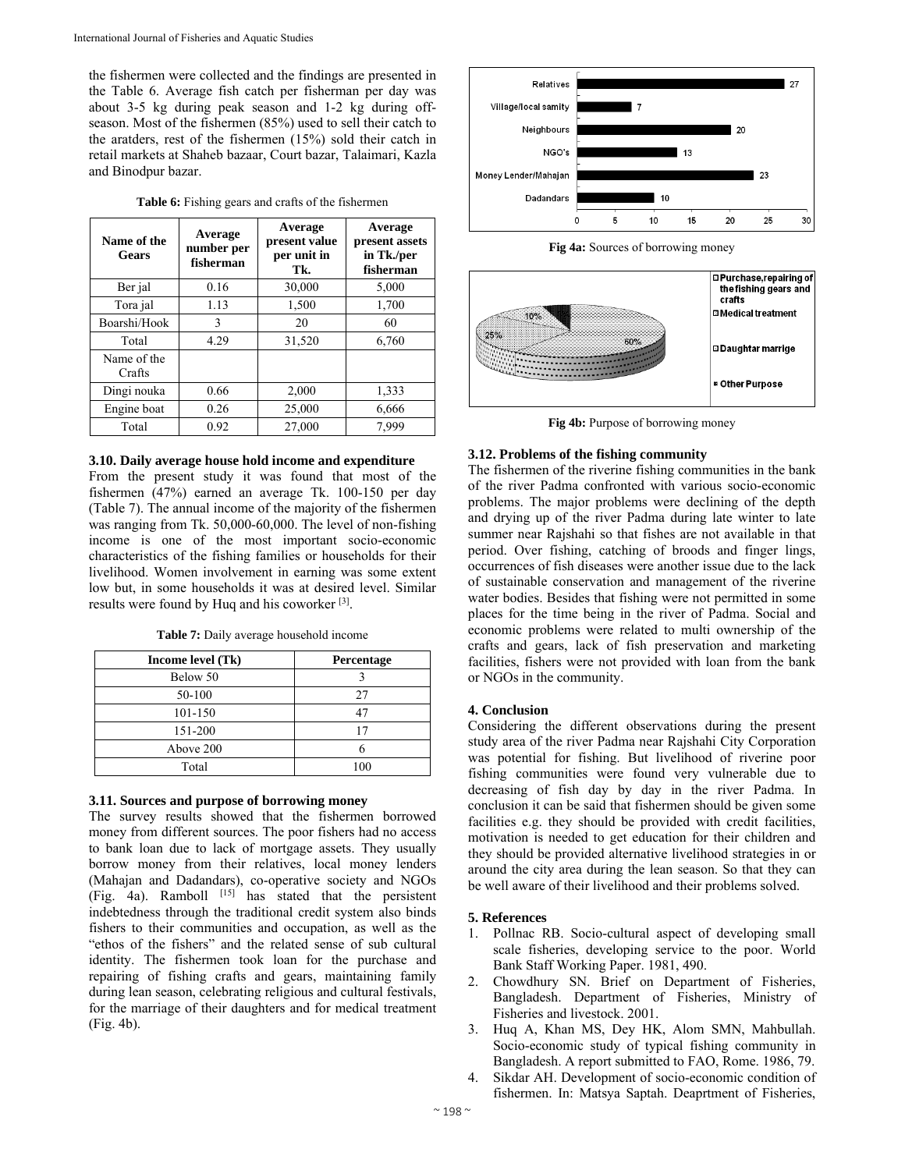the fishermen were collected and the findings are presented in the Table 6. Average fish catch per fisherman per day was about 3-5 kg during peak season and 1-2 kg during offseason. Most of the fishermen (85%) used to sell their catch to the aratders, rest of the fishermen (15%) sold their catch in retail markets at Shaheb bazaar, Court bazar, Talaimari, Kazla and Binodpur bazar.

| Name of the<br><b>Gears</b> | Average<br>number per<br>fisherman | Average<br>present value<br>per unit in<br>Tk. | Average<br>present assets<br>in Tk./per<br>fisherman |
|-----------------------------|------------------------------------|------------------------------------------------|------------------------------------------------------|
| Ber jal                     | 0.16                               | 30,000                                         | 5,000                                                |
| Tora jal                    | 1.13                               | 1,500                                          | 1,700                                                |
| Boarshi/Hook                | 3                                  | 20                                             | 60                                                   |
| Total                       | 4.29                               | 31,520                                         | 6,760                                                |
| Name of the<br>Crafts       |                                    |                                                |                                                      |
| Dingi nouka                 | 0.66                               | 2,000                                          | 1,333                                                |
| Engine boat                 | 0.26                               | 25,000                                         | 6,666                                                |
| Total                       | 0.92                               | 27,000                                         | 7.999                                                |

## **3.10. Daily average house hold income and expenditure**

From the present study it was found that most of the fishermen (47%) earned an average Tk. 100-150 per day (Table 7). The annual income of the majority of the fishermen was ranging from Tk. 50,000-60,000. The level of non-fishing income is one of the most important socio-economic characteristics of the fishing families or households for their livelihood. Women involvement in earning was some extent low but, in some households it was at desired level. Similar results were found by Huq and his coworker [3].

**Table 7:** Daily average household income

| Income level (Tk) | Percentage |
|-------------------|------------|
| Below 50          |            |
| 50-100            | 27         |
| 101-150           |            |
| 151-200           | 17         |
| Above 200         |            |
| Total             | 100        |

# **3.11. Sources and purpose of borrowing money**

The survey results showed that the fishermen borrowed money from different sources. The poor fishers had no access to bank loan due to lack of mortgage assets. They usually borrow money from their relatives, local money lenders (Mahajan and Dadandars), co-operative society and NGOs (Fig. 4a). Ramboll  $[15]$  has stated that the persistent indebtedness through the traditional credit system also binds fishers to their communities and occupation, as well as the "ethos of the fishers" and the related sense of sub cultural identity. The fishermen took loan for the purchase and repairing of fishing crafts and gears, maintaining family during lean season, celebrating religious and cultural festivals, for the marriage of their daughters and for medical treatment (Fig. 4b).



![](_page_3_Figure_11.jpeg)

![](_page_3_Figure_12.jpeg)

Fig 4b: Purpose of borrowing money

## **3.12. Problems of the fishing community**

The fishermen of the riverine fishing communities in the bank of the river Padma confronted with various socio-economic problems. The major problems were declining of the depth and drying up of the river Padma during late winter to late summer near Rajshahi so that fishes are not available in that period. Over fishing, catching of broods and finger lings, occurrences of fish diseases were another issue due to the lack of sustainable conservation and management of the riverine water bodies. Besides that fishing were not permitted in some places for the time being in the river of Padma. Social and economic problems were related to multi ownership of the crafts and gears, lack of fish preservation and marketing facilities, fishers were not provided with loan from the bank or NGOs in the community.

# **4. Conclusion**

Considering the different observations during the present study area of the river Padma near Rajshahi City Corporation was potential for fishing. But livelihood of riverine poor fishing communities were found very vulnerable due to decreasing of fish day by day in the river Padma. In conclusion it can be said that fishermen should be given some facilities e.g. they should be provided with credit facilities, motivation is needed to get education for their children and they should be provided alternative livelihood strategies in or around the city area during the lean season. So that they can be well aware of their livelihood and their problems solved.

# **5. References**

- 1. Pollnac RB. Socio-cultural aspect of developing small scale fisheries, developing service to the poor. World Bank Staff Working Paper. 1981, 490.
- 2. Chowdhury SN. Brief on Department of Fisheries, Bangladesh. Department of Fisheries, Ministry of Fisheries and livestock. 2001.
- 3. Huq A, Khan MS, Dey HK, Alom SMN, Mahbullah. Socio-economic study of typical fishing community in Bangladesh. A report submitted to FAO, Rome. 1986, 79.
- 4. Sikdar AH. Development of socio-economic condition of fishermen. In: Matsya Saptah. Deaprtment of Fisheries,